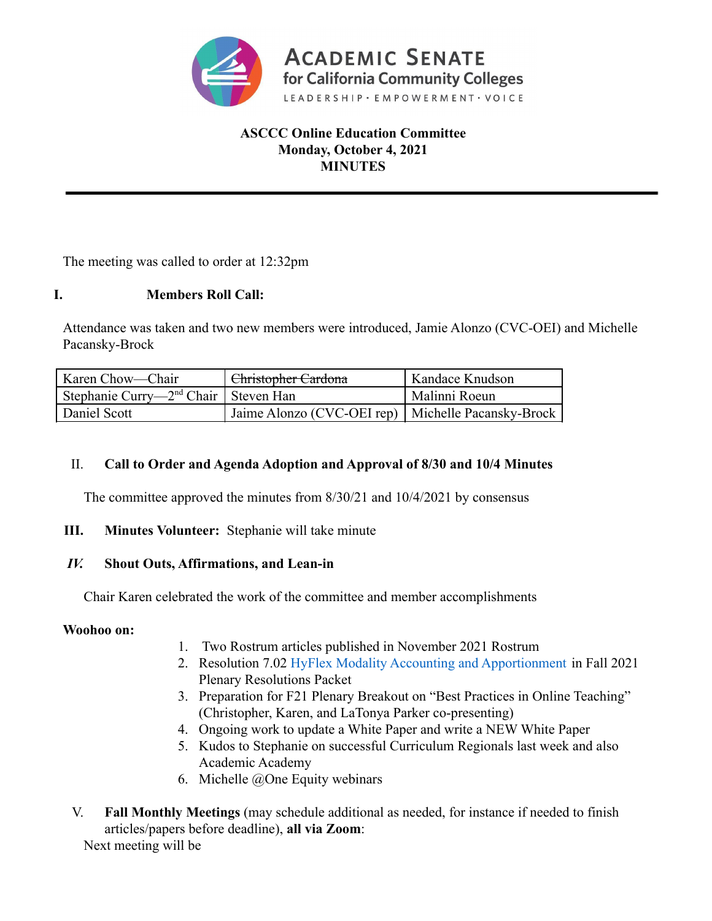

## **ASCCC Online Education Committee Monday, October 4, 2021 MINUTES**

The meeting was called to order at 12:32pm

## **I. Members Roll Call:**

Attendance was taken and two new members were introduced, Jamie Alonzo (CVC-OEI) and Michelle Pacansky-Brock

| Karen Chow—Chair                          | Christopher Cardona                                  | Kandace Knudson |
|-------------------------------------------|------------------------------------------------------|-----------------|
| Stephanie Curry— $2nd$ Chair   Steven Han |                                                      | Malinni Roeun   |
| Daniel Scott                              | Jaime Alonzo (CVC-OEI rep)   Michelle Pacansky-Brock |                 |

### II. **Call to Order and Agenda Adoption and Approval of 8/30 and 10/4 Minutes**

The committee approved the minutes from 8/30/21 and 10/4/2021 by consensus

## **III. Minutes Volunteer:** Stephanie will take minute

### *IV.* **Shout Outs, Affirmations, and Lean-in**

Chair Karen celebrated the work of the committee and member accomplishments

### **Woohoo on:**

- 1. Two Rostrum articles published in November 2021 Rostrum
- 2. Resolution 7.02 HyFlex Modality Accounting and Apportionment in Fall 2021 Plenary Resolutions Packet
- 3. Preparation for F21 Plenary Breakout on "Best Practices in Online Teaching" (Christopher, Karen, and LaTonya Parker co-presenting)
- 4. Ongoing work to update a White Paper and write a NEW White Paper
- 5. Kudos to Stephanie on successful Curriculum Regionals last week and also Academic Academy
- 6. Michelle  $@$ One Equity webinars
- V. **Fall Monthly Meetings** (may schedule additional as needed, for instance if needed to finish articles/papers before deadline), **all via Zoom**:

Next meeting will be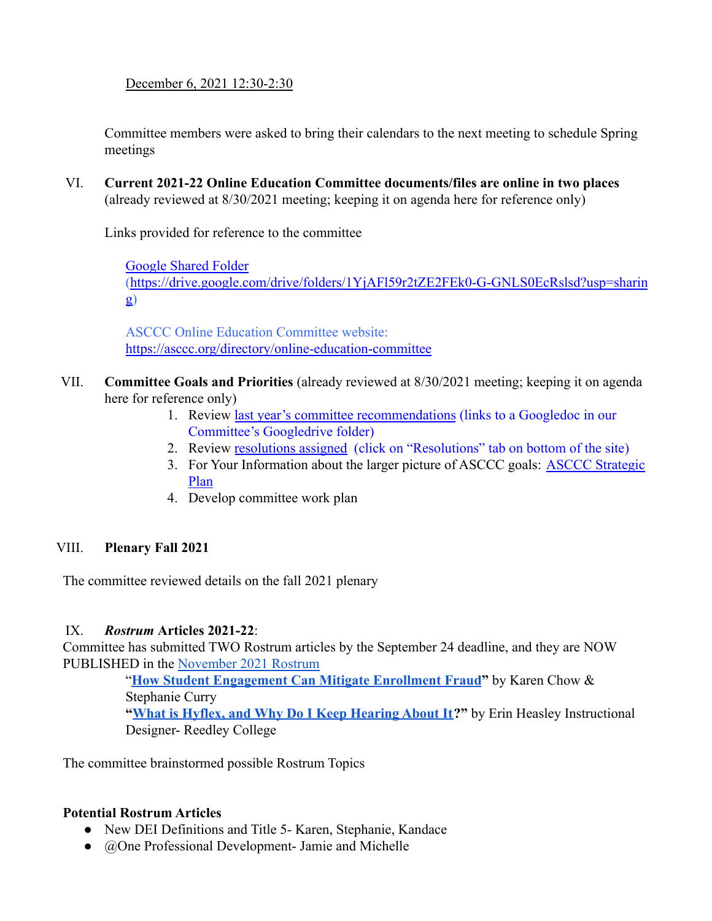December 6, 2021 12:30-2:30

Committee members were asked to bring their calendars to the next meeting to schedule Spring meetings

VI. **Current 2021-22 Online Education Committee documents/files are online in two places** (already reviewed at 8/30/2021 meeting; keeping it on agenda here for reference only)

Links provided for reference to the committee

[Google Shared Folder](https://drive.google.com/drive/folders/19Mcdxew-JeUnbYut5tlljYZssp94iyFX?usp=sharing) ([https://drive.google.com/drive/folders/1YjAFl59r2tZE2FEk0-G-GNLS0EcRslsd?usp=sharin](https://drive.google.com/drive/folders/1YjAFl59r2tZE2FEk0-G-GNLS0EcRslsd?usp=sharing) [g](https://drive.google.com/drive/folders/1YjAFl59r2tZE2FEk0-G-GNLS0EcRslsd?usp=sharing))

ASCCC Online Education Committee website: <https://asccc.org/directory/online-education-committee>

- VII. **Committee Goals and Priorities** (already reviewed at 8/30/2021 meeting; keeping it on agenda here for reference only)
	- 1. Review [last year's committee recommendations](https://docs.google.com/document/d/1zWBONpIZhpUIUUFPVs6mY02qI4aKL3VFQ1UIp_Et1k4/edit?usp=sharing) (links to a Googledoc in our Committee's Googledrive folder)
	- 2. Review [resolutions assigned](https://asccc.org/directory/online-education-committee) (click on "Resolutions" tab on bottom of the site)
	- 3. For Your Information about the larger picture of ASCCC goals: [ASCCC Strategic](https://asccc.org/sites/default/files/ASCCC_Strategic_Plan_2018-2023_final.pdf) [Plan](https://asccc.org/sites/default/files/ASCCC_Strategic_Plan_2018-2023_final.pdf)
	- 4. Develop committee work plan

## VIII. **Plenary Fall 2021**

The committee reviewed details on the fall 2021 plenary

## IX. *Rostrum* **Articles 2021-22**:

Committee has submitted TWO Rostrum articles by the September 24 deadline, and they are NOW PUBLISHED in the [November 2021 Rostrum](https://asccc.org/rostrum-download)

> "**[How Student Engagement Can Mitigate Enrollment Fraud](https://docs.google.com/document/d/1F_WVRdScjReUA3IskWdlf5QAl96Q-4qA/edit?usp=sharing&ouid=101271244775087330443&rtpof=true&sd=true)"** by Karen Chow & Stephanie Curry **"[What is Hyflex, and Why Do I Keep Hearing About It](https://docs.google.com/document/d/1Z_4QqCVstc7A4i5_kkTyPAQ7So69j-R4/edit?usp=sharing&ouid=101271244775087330443&rtpof=true&sd=true)?"** by Erin Heasley Instructional

Designer- Reedley College

The committee brainstormed possible Rostrum Topics

### **Potential Rostrum Articles**

- New DEI Definitions and Title 5- Karen, Stephanie, Kandace
- @One Professional Development- Jamie and Michelle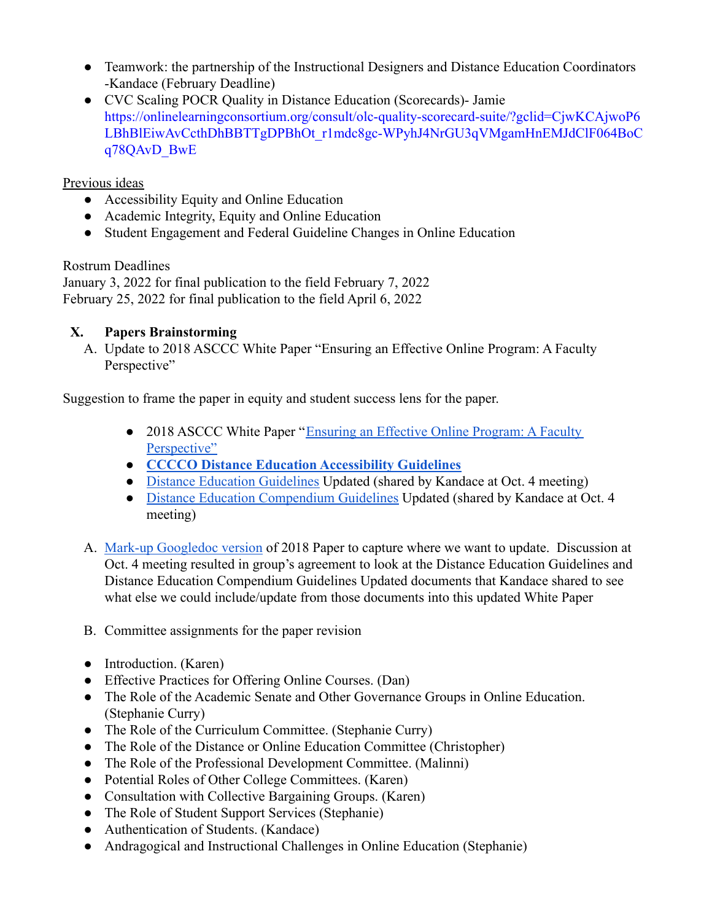- Teamwork: the partnership of the Instructional Designers and Distance Education Coordinators -Kandace (February Deadline)
- CVC Scaling POCR Quality in Distance Education (Scorecards)- Jamie [https://onlinelearningconsortium.org/consult/olc-quality-scorecard-suite/?gclid=CjwKCAjwoP6](https://onlinelearningconsortium.org/consult/olc-quality-scorecard-suite/?gclid=CjwKCAjwoP6LBhBlEiwAvCcthDhBBTTgDPBhOt_r1mdc8gc-WPyhJ4NrGU3qVMgamHnEMJdClF064BoCq78QAvD_BwE) [LBhBlEiwAvCcthDhBBTTgDPBhOt\\_r1mdc8gc-WPyhJ4NrGU3qVMgamHnEMJdClF064BoC](https://onlinelearningconsortium.org/consult/olc-quality-scorecard-suite/?gclid=CjwKCAjwoP6LBhBlEiwAvCcthDhBBTTgDPBhOt_r1mdc8gc-WPyhJ4NrGU3qVMgamHnEMJdClF064BoCq78QAvD_BwE) [q78QAvD\\_BwE](https://onlinelearningconsortium.org/consult/olc-quality-scorecard-suite/?gclid=CjwKCAjwoP6LBhBlEiwAvCcthDhBBTTgDPBhOt_r1mdc8gc-WPyhJ4NrGU3qVMgamHnEMJdClF064BoCq78QAvD_BwE)

### Previous ideas

- Accessibility Equity and Online Education
- Academic Integrity, Equity and Online Education
- Student Engagement and Federal Guideline Changes in Online Education

### Rostrum Deadlines

January 3, 2022 for final publication to the field February 7, 2022 February 25, 2022 for final publication to the field April 6, 2022

## **X. Papers Brainstorming**

A. Update to 2018 ASCCC White Paper "Ensuring an Effective Online Program: A Faculty Perspective"

Suggestion to frame the paper in equity and student success lens for the paper.

- 2018 ASCCC White Paper "[Ensuring an Effective Online](https://www.asccc.org/sites/default/files/Ensuring_an_Effective_Online.pdf) Program: A Faculty [Perspective"](https://www.asccc.org/sites/default/files/Ensuring_an_Effective_Online.pdf)
- **[CCCCO Distance Education Accessibility Guidelines](https://cccaccessibility.org/alternate-media/guidelines-practices)**
- [Distance Education Guidelines](https://drive.google.com/drive/folders/1niyEIw34W1XyakZvsZvoZyZgLflmiAfU) Updated (shared by Kandace at Oct. 4 meeting)
- [Distance Education Compendium Guidelines](https://drive.google.com/drive/folders/1niyEIw34W1XyakZvsZvoZyZgLflmiAfU) Updated (shared by Kandace at Oct. 4 meeting)
- A. [Mark-up Googledoc version](https://docs.google.com/document/d/1JtNTk2RnS3OC6o_4y5NhN_KPYAJbilNP/edit?usp=sharing&ouid=101271244775087330443&rtpof=true&sd=true) of 2018 Paper to capture where we want to update. Discussion at Oct. 4 meeting resulted in group's agreement to look at the Distance Education Guidelines and Distance Education Compendium Guidelines Updated documents that Kandace shared to see what else we could include/update from those documents into this updated White Paper
- B. Committee assignments for the paper revision
- Introduction. (Karen)
- Effective Practices for Offering Online Courses. (Dan)
- The Role of the Academic Senate and Other Governance Groups in Online Education. (Stephanie Curry)
- The Role of the Curriculum Committee. (Stephanie Curry)
- The Role of the Distance or Online Education Committee (Christopher)
- The Role of the Professional Development Committee. (Malinni)
- Potential Roles of Other College Committees. (Karen)
- Consultation with Collective Bargaining Groups. (Karen)
- The Role of Student Support Services (Stephanie)
- Authentication of Students. (Kandace)
- Andragogical and Instructional Challenges in Online Education (Stephanie)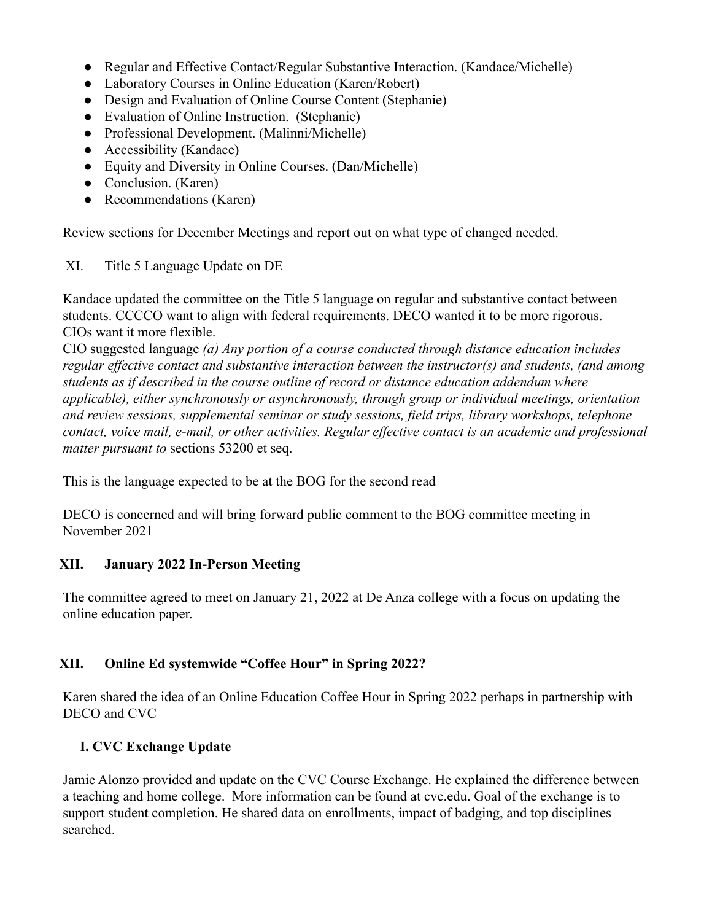- Regular and Effective Contact/Regular Substantive Interaction. (Kandace/Michelle)
- Laboratory Courses in Online Education (Karen/Robert)
- Design and Evaluation of Online Course Content (Stephanie)
- Evaluation of Online Instruction. (Stephanie)
- Professional Development. (Malinni/Michelle)
- Accessibility (Kandace)
- Equity and Diversity in Online Courses. (Dan/Michelle)
- Conclusion. (Karen)
- Recommendations (Karen)

Review sections for December Meetings and report out on what type of changed needed.

XI. Title 5 Language Update on DE

Kandace updated the committee on the Title 5 language on regular and substantive contact between students. CCCCO want to align with federal requirements. DECO wanted it to be more rigorous. CIOs want it more flexible.

CIO suggested language *(a) Any portion of a course conducted through distance education includes regular effective contact and substantive interaction between the instructor(s) and students, (and among students as if described in the course outline of record or distance education addendum where applicable), either synchronously or asynchronously, through group or individual meetings, orientation and review sessions, supplemental seminar or study sessions, field trips, library workshops, telephone contact, voice mail, e-mail, or other activities. Regular effective contact is an academic and professional matter pursuant to* sections 53200 et seq.

This is the language expected to be at the BOG for the second read

DECO is concerned and will bring forward public comment to the BOG committee meeting in November 2021

### **XII. January 2022 In-Person Meeting**

The committee agreed to meet on January 21, 2022 at De Anza college with a focus on updating the online education paper.

### **XII. Online Ed systemwide "Coffee Hour" in Spring 2022?**

Karen shared the idea of an Online Education Coffee Hour in Spring 2022 perhaps in partnership with DECO and CVC

## **I. CVC Exchange Update**

Jamie Alonzo provided and update on the CVC Course Exchange. He explained the difference between a teaching and home college. More information can be found at cvc.edu. Goal of the exchange is to support student completion. He shared data on enrollments, impact of badging, and top disciplines searched.